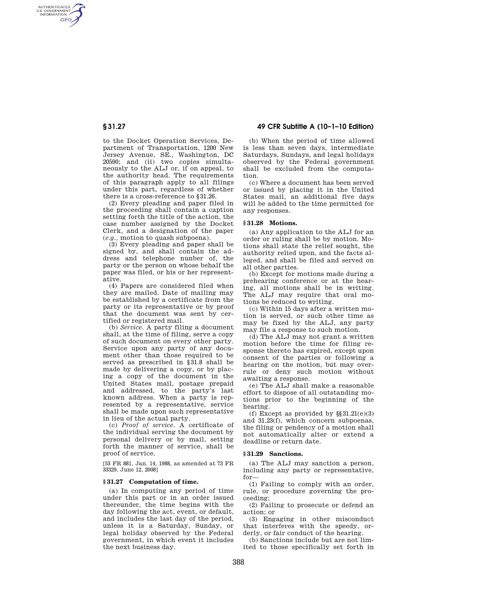AUTHENTICATED<br>U.S. GOVERNMENT<br>INFORMATION **GPO** 

> to the Docket Operation Services, Department of Transportation, 1200 New Jersey Avenue, SE., Washington, DC 20590; and (ii) two copies simultaneously to the ALJ or, if on appeal, to the authority head. The requirements of this paragraph apply to all filings under this part, regardless of whether there is a cross-reference to §31.26.

> (2) Every pleading and paper filed in the proceeding shall contain a caption setting forth the title of the action, the case number assigned by the Docket Clerk, and a designation of the paper (*e.g.,* motion to quash subpoena).

> (3) Every pleading and paper shall be signed by, and shall contain the address and telephone nunber of, the party or the person on whose behalf the paper was filed, or his or her representative.

> (4) Papers are considered filed when they are mailed. Date of mailing may be established by a certificate from the party or its representative or by proof that the document was sent by certified or registered mail.

> (b) *Service.* A party filing a document shall, at the time of filing, serve a copy of such document on every other party. Service upon any party of any document other than those required to be served as prescribed in §31.8 shall be made by delivering a copy, or by placing a copy of the document in the United States mail, postage prepaid and addressed, to the party's last known address. When a party is represented by a representative, service shall be made upon such representative in lieu of the actual party.

> (c) *Proof of service.* A certificate of the individual serving the document by personal delivery or by mail, setting forth the manner of service, shall be proof of service.

[53 FR 881, Jan. 14, 1988, as amended at 73 FR 33329, June 12, 2008]

# **§ 31.27 Computation of time.**

(a) In computing any period of time under this part or in an order issued thereunder, the time begins with the day following the act, event, or default, and includes the last day of the period, unless it is a Saturday, Sunday, or legal holiday observed by the Federal government, in which event it includes the next business day.

**§ 31.27 49 CFR Subtitle A (10–1–10 Edition)** 

(b) When the period of time allowed is less than seven days, intermediate Saturdays, Sundays, and legal holidays observed by the Federal government shall be excluded from the computation.

(c) Where a document has been served or issued by placing it in the United States mail, an additional five days will be added to the time permitted for any responses.

#### **§ 31.28 Motions.**

(a) Any application to the ALJ for an order or ruling shall be by motion. Motions shall state the relief sought, the authority relied upon, and the facts alleged, and shall be filed and served on all other parties.

(b) Except for motions made during a prehearing conference or at the hearing, all motions shall be in writing. The ALJ may require that oral motions be reduced to writing.

(c) Within 15 days after a written motion is served, or such other time as may be fixed by the ALJ, any party may file a response to such motion.

(d) The ALJ may not grant a written motion before the time for filing response thereto has expired, except upon consent of the parties or following a hearing on the motion, but may overrule or deny such motion without awaiting a response.

(e) The ALJ shall make a reasonable effort to dispose of all outstanding motions prior to the beginning of the hearing.

(f) Except as provided by  $\S 31.21(e)(3)$ and 31.23(f), which concern subpoenas, the filing or pendency of a motion shall not automatically alter or extend a deadline or return date.

#### **§ 31.29 Sanctions.**

(a) The ALJ may sanction a person, including any party or representative, for—

(1) Failing to comply with an order, rule, or procedure governing the proceeding;

(2) Failing to prosecute or defend an action; or

(3) Engaging in other misconduct that interferes with the speedy, orderly, or fair conduct of the hearing.

(b) Sanctions include but are not limited to those specifically set forth in